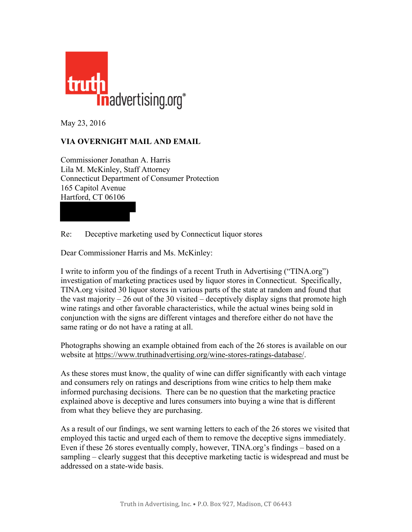

May 23, 2016

## **VIA OVERNIGHT MAIL AND EMAIL**

Commissioner Jonathan A. Harris Lila M. McKinley, Staff Attorney Connecticut Department of Consumer Protection 165 Capitol Avenue Hartford, CT 06106

Re: Deceptive marketing used by Connecticut liquor stores

Dear Commissioner Harris and Ms. McKinley:

I write to inform you of the findings of a recent Truth in Advertising ("TINA.org") investigation of marketing practices used by liquor stores in Connecticut. Specifically, TINA.org visited 30 liquor stores in various parts of the state at random and found that the vast majority  $-26$  out of the 30 visited  $-$  deceptively display signs that promote high wine ratings and other favorable characteristics, while the actual wines being sold in conjunction with the signs are different vintages and therefore either do not have the same rating or do not have a rating at all.

Photographs showing an example obtained from each of the 26 stores is available on our website at https://www.truthinadvertising.org/wine-stores-ratings-database/.

As these stores must know, the quality of wine can differ significantly with each vintage and consumers rely on ratings and descriptions from wine critics to help them make informed purchasing decisions. There can be no question that the marketing practice explained above is deceptive and lures consumers into buying a wine that is different from what they believe they are purchasing.

As a result of our findings, we sent warning letters to each of the 26 stores we visited that employed this tactic and urged each of them to remove the deceptive signs immediately. Even if these 26 stores eventually comply, however, TINA.org's findings – based on a sampling – clearly suggest that this deceptive marketing tactic is widespread and must be addressed on a state-wide basis.